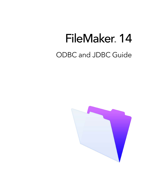# FileMaker<sub>®</sub> 14 ODBC and JDBC Guide

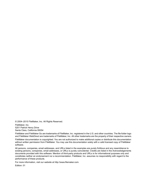© 2004–2015 FileMaker, Inc. All Rights Reserved.

FileMaker, Inc. 5201 Patrick Henry Drive Santa Clara, California 95054

FileMaker and FileMaker Go are trademarks of FileMaker, Inc. registered in the U.S. and other countries. The file folder logo and FileMaker WebDirect are trademarks of FileMaker, Inc. All other trademarks are the property of their respective owners.

FileMaker documentation is copyrighted. You are not authorized to make additional copies or distribute this documentation without written permission from FileMaker. You may use this documentation solely with a valid licensed copy of FileMaker software.

All persons, companies, email addresses, and URLs listed in the examples are purely fictitious and any resemblance to existing persons, companies, email addresses, or URLs is purely coincidental. Credits are listed in the Acknowledgements documents provided with this software. Mention of third-party products and URLs is for informational purposes only and constitutes neither an endorsement nor a recommendation. FileMaker, Inc. assumes no responsibility with regard to the performance of these products.

For more information, visit our website at http://www.filemaker.com.

Edition: 01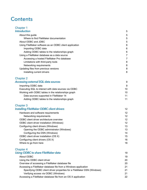## **Contents**

| <b>Chapter 1</b>                                       |   |
|--------------------------------------------------------|---|
| <b>Introduction</b>                                    | 5 |
| About this guide                                       | 5 |
| Where to find FileMaker documentation                  | 5 |
| About ODBC and JDBC                                    | 5 |
| Using FileMaker software as an ODBC client application | 6 |
| Importing ODBC data                                    | 6 |
| Adding ODBC tables to the relationships graph          | 6 |
| Using a FileMaker database as a data source            | 7 |
| Accessing a hosted FileMaker Pro database              | 7 |
| Limitations with third-party tools                     | 8 |
| Networking requirements                                | 8 |
| Updating files from previous versions                  | 8 |
| Installing current drivers                             | 8 |
| <b>Chapter 2</b>                                       |   |

| Chapter 2                                            |    |
|------------------------------------------------------|----|
| <b>Accessing external SQL data sources</b>           | -9 |
| Importing ODBC data                                  | -9 |
| Executing SQL to interact with data sources via ODBC | 10 |
| Working with ODBC tables in the relationships graph  | 10 |
| Data sources supported in FileMaker 14               | 11 |
| Adding ODBC tables to the relationships graph        | 11 |
|                                                      |    |

## [Chapter 3](#page-11-0)

| <b>Installing FileMaker ODBC client drivers</b> |  |
|-------------------------------------------------|--|
|-------------------------------------------------|--|

| Hardware and software requirements        | 12 |
|-------------------------------------------|----|
| Networking requirements                   | 12 |
| ODBC client driver architecture overview  | 12 |
| ODBC client driver installation (Windows) | 12 |
| Configuring client drivers (Windows)      | 13 |
| Opening the ODBC administrator (Windows)  | 13 |
| Configuring the DSN (Windows)             | 14 |
| ODBC client driver installation (OS X)    | 15 |
| Configuring client drivers (OS X)         | 16 |
| Where to go from here                     | 18 |

## [Chapter 4](#page-18-0)

| <b>Using ODBC to share FileMaker data</b>                              | 19 |
|------------------------------------------------------------------------|----|
| About ODBC                                                             | 19 |
| Using the ODBC client driver                                           | 20 |
| Overview of accessing a FileMaker database file                        | 20 |
| Accessing a FileMaker database file from a Windows application         | 21 |
| Specifying ODBC client driver properties for a FileMaker DSN (Windows) | 21 |
| Verifying access via ODBC (Windows)                                    | 21 |
| Accessing a FileMaker database file from an OS X application           | 22 |
|                                                                        |    |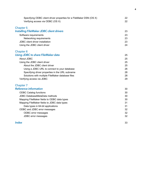| Verifying access via ODBC (OS X)<br><b>Chapter 5</b> | 22<br>23 |
|------------------------------------------------------|----------|
|                                                      |          |
|                                                      |          |
| <b>Installing FileMaker JDBC client drivers</b>      |          |
| Software requirements                                | 23       |
| Networking requirements                              | 23       |
| JDBC client driver installation                      | 23       |
| Using the JDBC client driver                         | 24       |
| Chapter <sub>6</sub>                                 |          |
| Using JDBC to share FileMaker data                   | 25       |
| About JDBC                                           | 25       |
| Using the JDBC client driver                         | 25       |
| About the JDBC client driver                         | 25       |
| Using a JDBC URL to connect to your database         | 26       |
| Specifying driver properties in the URL subname      | 28       |
| Solutions with multiple FileMaker database files     | 28       |
| Verifying access via JDBC                            | 29       |
| <b>Chapter 7</b>                                     |          |
| <b>Reference information</b>                         | 30       |
| <b>ODBC Catalog functions</b>                        | 30       |
| JDBC DatabaseMetaData methods                        | 30       |
| Mapping FileMaker fields to ODBC data types          | 30       |
| Mapping FileMaker fields to JDBC data types          | 31       |
| Data types in 64-bit applications                    | 31       |
| ODBC and JDBC error messages                         | 32       |
| ODBC error messages                                  | 32       |
| JDBC error messages                                  | 32       |

#### **Index** 33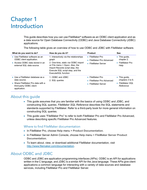## <span id="page-4-0"></span>Chapter 1 Introduction

This guide describes how you can use FileMaker® software as an ODBC client application and as a data source for Open Database Connectivity (ODBC) and Java Database Connectivity (JDBC) applications.

<span id="page-4-6"></span>The following table gives an overview of how to use ODBC and JDBC with FileMaker software.

<span id="page-4-4"></span>

| What do you want to do?                                                                                                                      | How do you do it?                                                                                                                                                                                                      | <b>Product</b>                                                                 | <b>See</b>                                                                     |
|----------------------------------------------------------------------------------------------------------------------------------------------|------------------------------------------------------------------------------------------------------------------------------------------------------------------------------------------------------------------------|--------------------------------------------------------------------------------|--------------------------------------------------------------------------------|
| • Use FileMaker software as an<br>ODBC client application.<br>Access ODBC data stored in an<br>external SQL data source.                     | 1. Interactively via the relationships<br>graph<br>2. One-time, static via ODBC import<br>or File menu > Open. Also, the<br>Import Records script step, the<br>Execute SQL script step, and the<br>ExecuteSQL function | $\blacksquare$ FileMaker Pro<br>• FileMaker Pro Advanced<br>■ FileMaker Server | $\blacksquare$ This guide,<br>chapter 2.<br>• FileMaker Pro<br>Help            |
| $\blacksquare$ Use a FileMaker database as a<br>data source.<br>• Share FileMaker Pro data with a<br>third-party ODBC client<br>application. | 1. ODBC and JDBC<br>2. SQL queries                                                                                                                                                                                     | ■ FileMaker Pro<br>• FileMaker Pro Advanced<br>■ FileMaker Server              | $\blacksquare$ This guide,<br>chapters 3 to 6.<br>■ FileMaker SQL<br>Reference |

## <span id="page-4-1"></span>About this guide

- This guide assumes that you are familiar with the basics of using ODBC and JDBC, and constructing SQL queries. *FileMaker SQL Reference* describes the SQL statements and standards supported by FileMaker. Refer to a third-party book for more general information on constructing SQL queries.
- 1 This guide uses "FileMaker Pro" to refer to both FileMaker Pro and FileMaker Pro Advanced, unless describing specific FileMaker Pro Advanced features.

#### <span id="page-4-5"></span><span id="page-4-2"></span>Where to find FileMaker documentation

- 1 In FileMaker Pro, choose **Help** menu > **Product Documentation**.
- 1 In FileMaker Server Admin Console, choose **Help** menu > **FileMaker Server Product Documentation**.
- 1 To learn about, view, or download additional FileMaker documentation, visit <http://www.filemaker.com/documentation>.

## <span id="page-4-3"></span>About ODBC and JDBC

ODBC and JDBC are application programming interfaces (APIs). ODBC is an API for applications written in the C language, and JDBC is a similar API for the Java language. These APIs give client applications a common language for interacting with a variety of data sources and database services, including FileMaker Pro and FileMaker Server.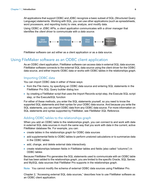All applications that support ODBC and JDBC recognize a basic subset of SQL (Structured Query Language) statements. Working with SQL, you can use other applications (such as spreadsheets, word processors, and reporting tools) to view, analyze, and modify data.

Using ODBC or JDBC APIs, a *client application* communicates with a *driver manager* that identifies the *client driver* to communicate with a *data source*.



FileMaker software can act either as a client application or as a data source.

## <span id="page-5-0"></span>Using FileMaker software as an ODBC client application

As an ODBC client application, FileMaker software can access data in external SQL data sources. FileMaker software connects to the external SQL data source using the client driver for the ODBC data source, and either imports ODBC data or works with ODBC tables in the relationships graph.

#### <span id="page-5-1"></span>Importing ODBC data

You can import ODBC data in either of these ways:

- <span id="page-5-5"></span>1 from the File menu, by specifying an ODBC data source and entering SQL statements in the FileMaker Pro SQL Query builder dialog box
- 1 by creating a FileMaker script that uses the Import Records script step, the Execute SQL script step, or the ExecuteSQL function

For either of these methods, you enter the SQL statements yourself, so you need to know the supported SQL statements and their syntax for your ODBC data source. And because you write the SQL statements, you can import ODBC data from any ODBC data source. For more information on SQL statements and syntax supported by FileMaker, see *FileMaker SQL Reference.*

#### <span id="page-5-3"></span><span id="page-5-2"></span>Adding ODBC tables to the relationships graph

When you add an ODBC table to the relationships graph, you can connect to and work with data in external SQL data sources in much the same way that you work with data in the current, active FileMaker database file. For example, you can:

- **EXECTE:** create tables in the relationships graph for ODBC data sources
- **1** add supplemental fields to ODBC tables to perform unstored calculations or to summarize data in the ODBC tables
- add, change, and delete external data interactively
- 1 create relationships between fields in FileMaker tables and fields (also called "columns") in ODBC tables

Because FileMaker Pro generates the SQL statements used to communicate with an ODBC table that has been added to the relationships graph, you are limited to the specific Oracle, SQL Server, and MySQL data sources that FileMaker Pro supports in the relationships graph.

<span id="page-5-4"></span>Note You cannot modify the schema of external ODBC data sources using FileMaker Pro.

Chapter [2, "Accessing external SQL data sources,"](#page-8-2) describes how to use FileMaker software as an ODBC client application.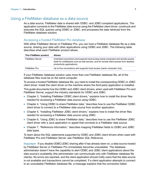## <span id="page-6-0"></span>Using a FileMaker database as a data source

As a data source, FileMaker data is shared with ODBC- and JDBC-compliant applications. The application connects to the FileMaker data source using the FileMaker client driver, constructs and executes the SQL queries using ODBC or JDBC, and processes the data retrieved from the FileMaker database solution.

#### <span id="page-6-1"></span>Accessing a hosted FileMaker Pro database

With either FileMaker Server or FileMaker Pro, you can host a FileMaker database file as a data source, sharing your data with other applications using ODBC and JDBC. The following table describes what each FileMaker product allows.

<span id="page-6-5"></span><span id="page-6-3"></span>

| This FileMaker product  | <b>Allows</b>                                                                                                                                                                                           |
|-------------------------|---------------------------------------------------------------------------------------------------------------------------------------------------------------------------------------------------------|
| <b>FileMaker Server</b> | Unlimited connections and supports local access (same computer) and remote access<br>(both for middleware such as web servers, and for remote client access from desktop<br>productivity applications). |
| FileMaker Pro           | Up to five connections and supports local access (same computer) only.                                                                                                                                  |

<span id="page-6-4"></span>If your FileMaker database solution uses more than one FileMaker database file, all of the database files must be on the same computer.

To access a hosted FileMaker database file, you need to install the corresponding ODBC or JDBC client driver. Install the client driver on the machine where the third-party application is installed.

This guide documents how the ODBC and JDBC client drivers, when used with FileMaker Pro and FileMaker Server, support the industry standards for ODBC and JDBC.

- 1 Chapter [3, "Installing FileMaker ODBC client](#page-11-5) drivers," explains how to install the driver files needed for accessing a FileMaker data source using ODBC.
- 1 Chapter [4, "Using ODBC to share FileMaker data,"](#page-18-2) describes how to use the FileMaker ODBC client driver to connect to a FileMaker data source from another application.
- 1 Chapter [5, "Installing FileMaker JDBC client drivers,"](#page-22-4) explains how to install the driver files needed for accessing a FileMaker data source using JDBC.
- 1 Chapter [6, "Using JDBC to share FileMaker data,"](#page-24-4) describes how to use the FileMaker JDBC client driver with a Java application or applet that connects to a FileMaker data source.
- 1 Chapter [7, "Reference information,"](#page-29-4) describes mapping FileMaker fields to ODBC and JDBC data types.

To learn about the SQL statements supported by ODBC and JDBC client drivers when used with FileMaker Pro and FileMaker Server, see *FileMaker SQL Reference*.

<span id="page-6-2"></span>Important If you disable ODBC/JDBC sharing after it has already been on, a data source hosted by FileMaker Server or FileMaker Pro immediately becomes unavailable. The database administrator doesn't have the capability to alert ODBC and JDBC client applications about the data source's availability (the administrator can communicate only with FileMaker database file clients). No errors are reported, and the client application should notify users that the data source is not available and transactions cannot be completed. If a client application attempts to connect to an unavailable FileMaker database file, a message explains that the connection failed.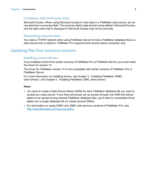#### <span id="page-7-6"></span><span id="page-7-0"></span>Limitations with third-party tools

Microsoft Access: When using Microsoft Access to view data in a FileMaker data source, do not use data from a summary field. The summary field's data should not be edited in Microsoft Access, and the data value that is displayed in Microsoft Access may not be accurate.

#### <span id="page-7-7"></span><span id="page-7-1"></span>Networking requirements

You need a TCP/IP network when using FileMaker Server to host a FileMaker database file as a data source over a network. FileMaker Pro supports local access (same computer) only.

## <span id="page-7-2"></span>Updating files from previous versions

#### <span id="page-7-5"></span><span id="page-7-3"></span>Installing current drivers

If you installed a driver from earlier versions of FileMaker Pro or FileMaker Server, you must install the driver for version 14.

The driver for FileMaker version 14 is not compatible with earlier versions of FileMaker Pro or FileMaker Server.

For more information on installing drivers, see chapter [3, "Installing FileMaker ODBC](#page-11-5)  client [drivers,"](#page-11-5) and chapter [5, "Installing FileMaker JDBC client drivers."](#page-22-4)

#### <span id="page-7-4"></span>**Notes**

- 1 You have to create a Data Source Name (DSN) for each FileMaker database file you want to access as a data source. If you have previously set up access through one DSN that allows tables to be spread among several FileMaker database files, you'll need to consolidate those tables into a single database file (or create several DSNs).
- For information on using ODBC and JDBC with previous versions of FileMaker Pro, see <http://www.filemaker.com/documentation>.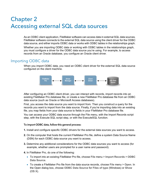## <span id="page-8-2"></span><span id="page-8-0"></span>Chapter 2 Accessing external SQL data sources

As an ODBC client application, FileMaker software can access data in external SQL data sources. FileMaker software connects to the external SQL data source using the client driver for the ODBC data source, and either imports ODBC data or works with ODBC tables in the relationships graph.

Whether you are importing ODBC data or working with ODBC tables in the relationships graph, you must configure a driver for the ODBC data source you're using. For example, to access records from an Oracle database, you configure an Oracle client driver.

## <span id="page-8-1"></span>Importing ODBC data

When you import ODBC data, you need an ODBC client driver for the external SQL data source configured on the client machine.

<span id="page-8-6"></span><span id="page-8-5"></span>

After configuring an ODBC client driver, you can interact with records, import records into an existing FileMaker Pro database file, or create a new FileMaker Pro database file from an ODBC data source (such as Oracle or Microsoft Access databases).

First, you access the data source you want to import from. Then you construct a query for the records you want to import from the data source. Finally, if you're importing data into an existing file, you map fields from your data source to fields in your FileMaker Pro database file.

<span id="page-8-4"></span><span id="page-8-3"></span>You can access your ODBC data source through the File menu, with the Import Records script step, with the Execute SQL script step, or with the ExecuteSQL function.

#### <span id="page-8-7"></span>To import ODBC data, follow this general process:

- **1.** Install and configure specific ODBC drivers for the external data sources you want to access.
- **2.** On the computer that hosts the current FileMaker Pro file, define a system Data Source Name (DSN) for each ODBC data source you want to access.
- **3.** Determine any additional considerations for the ODBC data sources you want to access (for example, whether users are prompted for a user name and password).
- **4.** In FileMaker Pro, do one of the following:
	- 1 To import into an existing FileMaker Pro file, choose **File** menu > **Import Records** > **ODBC Data Source**.
	- 1 To create a FileMaker Pro file from the data source records, choose **File** menu > **Open**. In the Open dialog box, choose **ODBC Data Source** for **Files of type** (Windows) or **Show** (OS X).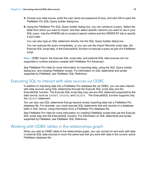- <span id="page-9-6"></span>**5.** Choose your data source, enter the user name and password (if any), and click **OK** to open the FileMaker Pro SQL Query builder dialog box.
- **6.** Using the FileMaker Pro SQL Query builder dialog box, you can construct a query. Select the table from which you want to import, and then select specific columns you want to use in your SQL query. Use the WHERE tab to construct search criteria and the ORDER BY tab to specify a sort order.

<span id="page-9-4"></span>You can also type an SQL statement directly into the SQL Query builder dialog box.

You can execute the query immediately, or you can use the Import Records script step, the Execute SQL script step, or the ExecuteSQL function to execute a query as part of a FileMaker script.

<span id="page-9-5"></span>Note ODBC import, the Execute SQL script step, and external SQL data sources are not supported in runtime solutions created with FileMaker Pro Advanced.

See FileMaker Pro Help for more information on importing data, using the SQL Query builder dialog box, and creating FileMaker scripts. For information on SQL statements and syntax supported by FileMaker, see *FileMaker SQL Reference.*

## <span id="page-9-0"></span>Executing SQL to interact with data sources via ODBC

<span id="page-9-2"></span>In addition to importing data into a FileMaker Pro database file via ODBC, you can also interact with data sources using SQL statements through the Execute SQL script step and the ExecuteSQL function. The Execute SQL script step may use any SQL statement supported by the data source, such as INSERT, UPDATE, and DELETE. The ExecuteSQL function supports only the SELECT statement.

You can also use SQL statements that go beyond simply importing data into a FileMaker Pro database file. For example, you could execute SQL statements that add records to a database table in SQL Server, using information from a FileMaker Pro database file.

<span id="page-9-3"></span>See FileMaker Pro Help for more information on creating FileMaker scripts that use the Execute SQL script step and the ExecuteSQL function. For information on SQL statements and syntax supported by FileMaker, see *FileMaker SQL Reference.*

## <span id="page-9-1"></span>Working with ODBC tables in the relationships graph

When you add an ODBC table to the relationships graph, you can connect to and work with data in external SQL data sources in much the same way that you work with data in the current, active FileMaker database file.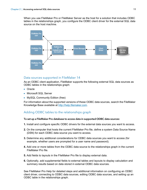When you use FileMaker Pro or FileMaker Server as the host for a solution that includes ODBC tables in the relationships graph, you configure the ODBC client driver for the external SQL data source on the host machine.



#### <span id="page-10-2"></span><span id="page-10-0"></span>Data sources supported in FileMaker 14

As an ODBC client application, FileMaker supports the following external SQL data sources as ODBC tables in the relationships graph:

- Oracle
- **Nicrosoft SQL Server**
- **NySQL Community Edition (free)**

For information about the supported versions of these ODBC data sources, search the FileMaker Knowledge Base available at<http://help.filemaker.com>.

### <span id="page-10-1"></span>Adding ODBC tables to the relationships graph

#### To set up a FileMaker Pro database to access data in supported ODBC data sources:

- **1.** Install and configure specific ODBC drivers for the external data sources you want to access.
- **2.** On the computer that hosts the current FileMaker Pro file, define a system Data Source Name (DSN) for each ODBC data source you want to access.
- **3.** Determine any additional considerations for ODBC data sources you want to access (for example, whether users are prompted for a user name and password).
- **4.** Add one or more tables from the ODBC data source to the relationships graph in the current FileMaker Pro file.
- **5.** Add fields to layouts in the FileMaker Pro file to display external data.
- **6.** Optionally, add supplemental fields to external tables and layouts to display calculation and summary results based on data stored in external ODBC data sources.

See FileMaker Pro Help for detailed steps and additional information on configuring an ODBC client driver, connecting to ODBC data sources, editing ODBC data sources, and setting up an ODBC table in the relationships graph.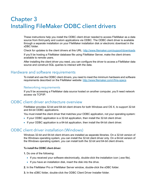## <span id="page-11-5"></span><span id="page-11-0"></span>Chapter 3 Installing FileMaker ODBC client drivers

These instructions help you install the ODBC client driver needed to access FileMaker as a data source from third-party and custom applications via ODBC. The ODBC client driver is available through a separate installation on your FileMaker installation disk or electronic download in the xDBC folder.

Check for updates to the client drivers at this URL: <http://www.filemaker.com/support/downloads>

If you'll be hosting a FileMaker database file using FileMaker Server, make the client drivers available to remote users.

After installing the client driver you need, you can configure the driver to access a FileMaker data source and construct SQL queries to interact with the data.

## <span id="page-11-1"></span>Hardware and software requirements

<span id="page-11-8"></span>To install and use the ODBC client drivers, you need to meet the minimum hardware and software requirements described on the FileMaker website: <http://www.filemaker.com/r/fms-specs>

#### <span id="page-11-2"></span>Networking requirements

If you'll be accessing a FileMaker data source hosted on another computer, you'll need network access via TCP/IP.

## <span id="page-11-3"></span>ODBC client driver architecture overview

FileMaker provides 32-bit and 64-bit client drivers for both Windows and OS X, to support 32-bit and 64-bit ODBC applications.

<span id="page-11-6"></span>You must install the client driver that matches your ODBC application, not your operating system:

- 1 If your ODBC application is a 32-bit application, then install the 32-bit client driver.
- <span id="page-11-7"></span>1 If your ODBC application is a 64-bit application, then install the 64-bit client driver.

## <span id="page-11-4"></span>ODBC client driver installation (Windows)

Windows 32-bit and 64-bit client drivers are installed as separate libraries. On a 32-bit version of the Windows operating system, you can install the 32-bit client driver only. On a 64-bit version of the Windows operating system, you can install both the 32-bit and 64-bit client drivers.

#### To install the ODBC client driver:

**1.** Do one of the following:

- 1 If you received your software electronically, double-click the installation icon (.exe file).
- **If you have an installation disk, insert the disk into the drive.**
- **2.** In the FileMaker Pro or FileMaker Server window, double-click the xDBC folder.
- **3.** In the xDBC folder, double-click the ODBC Client Driver Installer folder.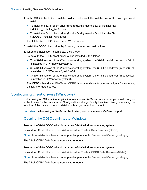- <span id="page-12-3"></span>**4.** In the ODBC Client Driver Installer folder, double-click the installer file for the driver you want to install.
	- 1 To install the 32-bit client driver (fmodbc32.dll), use the 32-bit installer file: FMODBC\_Installer\_Win32.msi
	- To install the 64-bit client driver (fmodbc64.dll), use the 64-bit installer file: FMODBC\_Installer\_Win64.msi

<span id="page-12-5"></span>The FileMaker ODBC Driver Setup Wizard opens.

- **5.** Install the ODBC client driver by following the onscreen instructions.
- **6.** When the installation is complete, click **Close**.

By default, the ODBC client driver will be installed in this folder:

- On a 32-bit version of the Windows operating system, the 32-bit client driver (fmodbc32.dll) is installed in C:\Windows\System32
- On a 64-bit version of the Windows operating system, the 32-bit client driver (fmodbc32.dll) is installed in C:\Windows\SysWOW64
- On a 64-bit version of the Windows operating system, the 64-bit client driver (fmodbc64.dll) is installed in C:\Windows\System32

<span id="page-12-6"></span>The ODBC client driver, **FileMaker ODBC**, is now available for you to configure for accessing a FileMaker data source.

## <span id="page-12-2"></span><span id="page-12-0"></span>Configuring client drivers (Windows)

Before using an ODBC client application to access a FileMaker data source, you must configure a client driver for the data source. Configuration settings identify the client driver you're using, the location of the data source, and details on how you intend to connect.

<span id="page-12-8"></span>Important When using a FileMaker client driver, you must reserve 2399 as the port.

### <span id="page-12-1"></span>Opening the ODBC administrator (Windows)

#### <span id="page-12-4"></span>To open the 32-bit ODBC administrator on a 32-bit Windows operating system:

In Windows Control Panel, open **Administrative Tools** > **Data Sources (ODBC)**.

<span id="page-12-7"></span>Note **Administrative Tools** control panel appears in the **System and Security** category.

The 32-bit ODBC Data Source Administrator opens.

#### To open the 32-bit ODBC administrator on a 64-bit Windows operating system:

In Windows Control Panel, open **Administrative Tools** > **ODBC Data Sources (32-bit)**.

Note **Administrative Tools** control panel appears in the **System and Security** category.

The 32-bit ODBC Data Source Administrator opens.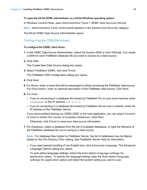#### <span id="page-13-1"></span>To open the 64-bit ODBC administrator on a 64-bit Windows operating system:

In Windows Control Panel, open **Administrative Tools** > **ODBC Data Sources (64-bit)**.

Note **Administrative Tools** control panel appears in the **System and Security** category.

The 64-bit ODBC Data Source Administrator opens.

#### <span id="page-13-0"></span>Configuring the DSN (Windows)

#### To configure the ODBC client driver:

- **1.** In the ODBC Data Source Administrator, select the **System DSN** or **User DSN** tab. You create a DSN for each FileMaker database file you want to access as a data source.
- **2.** Click **Add**.

<span id="page-13-2"></span>The Create New Data Source dialog box opens.

**3.** Select **FileMaker ODBC**, and click **Finish**.

The FileMaker DSN Configuration dialog box opens.

- **4.** Click **Next**.
- **5.** For **Name**, enter a name that will be meaningful to others accessing the FileMaker data source. For **Description**, enter an optional description of the FileMaker data source. Click **Next**.
- **6.** For **Host**:
	- 1 If you're connecting to a database file hosted by FileMaker Pro on your local machine, enter localhost or the IP address 127.0.0.1.
	- 1 If you're connecting to a database file hosted by FileMaker Server over a network, enter the IP address of the FileMaker Server.

If you have enabled sharing via ODBC/JDBC in the host application, you can select **Connect to host to obtain the names of available databases**. Click **Next**.

Otherwise, click **Finish** to save your data source information.

**7.** For **Database**, select a database from the list of available databases, or type the filename of the FileMaker database file you're using as a data source.

Note For database files hosted by FileMaker Server, the list of databases may be filtered based on the **File Display Filter** setting. See FileMaker Server Help for information.

1 If you need special handling of non-English text, click **Advanced Language**. The Advanced Language Options dialog box opens.

To auto-detect language settings, select the **Auto-detect language settings for application** option. To specify the language setting, clear the **Auto-detect language settings for application** option and select the system setting you want to use.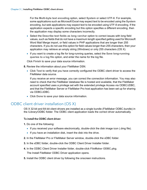For the **Multi-byte text encoding** option, select **System** or select **UTF-8**. For example, some applications such as Microsoft Excel may expect text to be encoded using the **System** encoding, but web applications may expect text to be encoded using **UTF-8** encoding. If the application expects a specific encoding but this option specifies a different encoding, then the application may display some characters incorrectly.

- 1 Select the **Describe text fields as long varchar** option to correct issues with long field values, such as fields that do not have a maximum length specified getting used for Microsoft Word Mail Merge import, or field values in PHP applications that are longer than 255 characters. If you do not use this option for field values longer than 255 characters, then your application may retrieve an empty string (Windows) or only 255 characters (OS X).
- 1 If you want to create a log file for long-running queries, select the **Save long-running queries to a log file** option, and enter the name for the log file.

Click **Finish** to save your data source information.

- **8.** Review the information about your FileMaker DSN.
	- 1 Click **Test** to verify that you have correctly configured the ODBC client driver to access the FileMaker data source.

If you receive an error message, you can correct the connection information. You may also need to check that the FileMaker database file is hosted and available, that the FileMaker account specified uses a privilege set with the extended privilege Access via ODBC/JDBC, and that the FileMaker Server or FileMaker Pro host application has been set up for sharing via ODBC/JDBC.

<span id="page-14-2"></span>1 Click **Done** to save your data source information.

## <span id="page-14-0"></span>ODBC client driver installation (OS X)

<span id="page-14-1"></span>OS X 32-bit and 64-bit client drivers are installed as a single bundle (FileMaker ODBC.bundle) in the /Library/ODBC folder. The ODBC client application loads the correct driver automatically.

#### To install the ODBC client driver:

**1.** Do one of the following:

- If you received your software electronically, double-click the disk image icon (.dmg file).
- $\blacksquare$  If you have an installation disk, insert the disk into the drive.
- **2.** In the FileMaker Pro or FileMaker Server window, double-click the xDBC folder.
- **3.** In the xDBC folder, double-click the ODBC Client Driver Installer folder.
- **4.** In the ODBC Client Driver Installer folder, double-click **FileMaker ODBC.pkg**. The Install FileMaker ODBC Driver application opens.
- **5.** Install the ODBC client driver by following the onscreen instructions.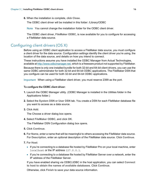**6.** When the installation is complete, click **Close**.

The ODBC client driver will be installed in this folder: /Library/ODBC

<span id="page-15-4"></span>Note You cannot change the installation folder for the ODBC client driver.

<span id="page-15-7"></span>The ODBC client driver, **FileMaker ODBC**, is now available for you to configure for accessing a FileMaker data source.

## <span id="page-15-1"></span><span id="page-15-0"></span>Configuring client drivers (OS X)

Before using an ODBC client application to access a FileMaker data source, you must configure a client driver for the data source. Configuration settings identify the client driver you're using, the location of the data source, and details on how you intend to connect.

<span id="page-15-6"></span>These instructions assume you have installed the ODBC Manager from Actual Technologies, available at<http://www.odbcmanager.net>, which is a freeware product not supported by FileMaker.

<span id="page-15-3"></span><span id="page-15-2"></span>Because there is only one installed bundle for both 32-bit and 64-bit client drivers, you can use the same ODBC administrator for both 32-bit and 64-bit ODBC applications. The FileMaker DSN that you configure can be used for both 32-bit and 64-bit ODBC applications.

<span id="page-15-8"></span>Important When using a FileMaker client driver, you must reserve 2399 as the port.

#### To configure the ODBC client driver:

- <span id="page-15-5"></span>**1.** Launch the ODBC Manager utility. (ODBC Manager is installed in the Utilities folder in the Applications folder.)
- **2.** Select the **System DSN** or **User DSN** tab. You create a DSN for each FileMaker database file you want to access as a data source.
- **3.** Click **Add**.

The Choose a driver dialog box opens.

**4.** Select **FileMaker ODBC**, and click **OK**.

The FileMaker DSN Configuration dialog box opens.

- **5.** Click **Continue**.
- **6.** For **Name**, enter a name that will be meaningful to others accessing the FileMaker data source. For **Description**, enter an optional description of the FileMaker data source. Click **Continue**.
- **7.** For **Host**:
	- 1 If you're connecting to a database file hosted by FileMaker Pro on your local machine, enter localhost or the IP address 127.0.0.1.
	- 1 If you're connecting to a database file hosted by FileMaker Server over a network, enter the IP address of the FileMaker Server.

If you have enabled sharing via ODBC/JDBC in the host application, you can select **Connect to host to obtain the names of available databases**. Click **Continue**.

Otherwise, click **Finish** to save your data source information.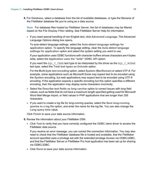**8.** For **Database**, select a database from the list of available databases, or type the filename of the FileMaker database file you're using as a data source.

Note For database files hosted by FileMaker Server, the list of databases may be filtered based on the **File Display Filter** setting. See FileMaker Server Help for information.

1 If you need special handling of non-English text, click **Advanced Language**. The Advanced Language Options dialog box opens.

To auto-detect language settings, select the **Auto-detect language settings for application** option. To specify the language setting, clear the **Auto-detect language settings for application** option and select the system setting you want to use.

If your application uses ODBC functions with character buffers whose characters are 4 bytes wide, select the **Application uses the "wide" ODBC API** option.

If you want the  $SQL$   $C$  CHAR text type to be interpreted by the driver as the  $SQL$   $C$  WCHAR text type, select the **Treat text types as Unicode** option.

For the **Multi-byte text encoding** option, select **System (MacRoman)** or select **UTF-8**. For example, some applications such as Microsoft Excel may expect text to be encoded using the **System** encoding, but web applications may expect text to be encoded using **UTF-8** encoding. If the application expects a specific encoding but this option specifies a different encoding, then the application may display some characters incorrectly.

- 1 Select the **Describe text fields as long varchar** option to correct issues with long field values, such as fields that do not have a maximum length specified getting used for Microsoft Word Mail Merge import, or field values in PHP applications that are longer than 255 characters.
- 1 If you want to create a log file for long-running queries, select the **Save long-running queries to a log file** option, and enter the name for the log file. You can also change the **Long query time** value.

Click **Finish** to save your data source information.

**9.** Review the information about your FileMaker DSN.

1 Click **Test** to verify that you have correctly configured the ODBC client driver to access the FileMaker data source.

If you receive an error message, you can correct the connection information. You may also need to check that the FileMaker database file is hosted and available, that the FileMaker account specified uses a privilege set with the extended privilege Access via ODBC/JDBC, and that the FileMaker Server or FileMaker Pro host application has been set up for sharing via ODBC/JDBC.

1 Click **Done** to save your data source information.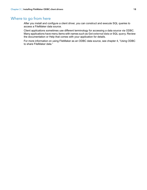## <span id="page-17-0"></span>Where to go from here

After you install and configure a client driver, you can construct and execute SQL queries to access a FileMaker data source.

Client applications sometimes use different terminology for accessing a data source via ODBC. Many applications have menu items with names such as **Get external data** or **SQL query**. Review the documentation or Help that comes with your application for details.

For more information on using FileMaker as an ODBC data source, see chapter [4, "Using ODBC](#page-18-2)  [to share FileMaker data."](#page-18-2)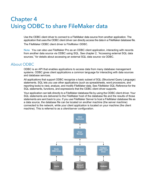## <span id="page-18-2"></span><span id="page-18-0"></span>Chapter 4 Using ODBC to share FileMaker data

Use the ODBC client driver to connect to a FileMaker data source from another application. The application that uses the ODBC client driver can directly access the data in a FileMaker database file. The FileMaker ODBC client driver is **FileMaker ODBC**.

Note You can also use FileMaker Pro as an ODBC client application, interacting with records from another data source via ODBC using SQL. See chapter [2, "Accessing external SQL data](#page-8-2)  [sources,"](#page-8-2) for details about accessing an external SQL data source via ODBC.

## <span id="page-18-1"></span>About ODBC

<span id="page-18-3"></span>ODBC is an API that enables applications to access data from many database management systems. ODBC gives client applications a common language for interacting with data sources and database services.

All applications that support ODBC recognize a basic subset of SQL (Structured Query Language) statements. SQL lets you use other applications (such as spreadsheets, word processors, and reporting tools) to view, analyze, and modify FileMaker data. See *FileMaker SQL Reference* for the SQL statements, functions, and expressions that the ODBC client driver supports.

Your application can talk directly to a FileMaker database file by using the ODBC client driver. Your SQL statements are delivered to the FileMaker host of the database file and the results of those statements are sent back to you. If you use FileMaker Server to host a FileMaker database file as a data source, the database file can be located on another machine (the server machine) connected to the network, while your client application is located on your machine (the client machine). This is referred to as a *client/server configuration*.

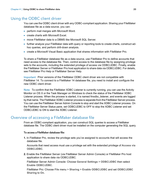## <span id="page-19-0"></span>Using the ODBC client driver

You can use the ODBC client driver with any ODBC-compliant application. Sharing your FileMaker database file as a data source, you can:

- **-** perform mail merges with Microsoft Word.
- **Excel.** create charts with Microsoft Excel.
- **n** move FileMaker data to a DBMS like Microsoft SQL Server.
- 1 further analyze your FileMaker data with query or reporting tools to create charts, construct adhoc queries, and perform drill-down analysis.
- 1 create a Microsoft Visual Basic application that shares information with FileMaker Pro.

To share a FileMaker database file as a data source, use FileMaker Pro to define accounts that need access to the database file. Then, control access to the database file by assigning privilege sets to the accounts, including the extended privilege of access via ODBC/JDBC. Finally, enable the FileMaker Server or FileMaker Pro host application to share data via ODBC/JDBC. For details, see FileMaker Pro Help or FileMaker Server Help.

Important Prior versions of the FileMaker ODBC client driver are not compatible with FileMaker 14. To connect to a FileMaker 14 database file, you need to install and configure the new ODBC client driver.

<span id="page-19-4"></span>Note To confirm that the FileMaker XDBC Listener is currently running, you can use the Activity Monitor on OS X or the Task Manager on Windows to check the status of the FileMaker XDBC Listener process. When the process is started, it is named fmxdbc listener, and events are logged by that name. The FileMaker XDBC Listener process is separate from the FileMaker Server process. You can use the FileMaker Server Admin Console to stop and start the XDBC Listener process. On the FileMaker Server Status pane, set ODBC/JDBC to **OFF** to stop the XDBC Listener and set ODBC/JDBC to **ON** to start the XDBC Listener.

## <span id="page-19-1"></span>Overview of accessing a FileMaker database file

From an ODBC-compliant application, you can construct SQL queries to access a FileMaker database file. The ODBC client driver must be installed on the computer generating the SQL query.

#### <span id="page-19-2"></span>To access a FileMaker database file:

**1.** In FileMaker Pro, review the privilege sets you've assigned to accounts that will access the database file.

Accounts that need access must use a privilege set with the extended privilege of **Access via ODBC/JDBC**.

<span id="page-19-3"></span>**2.** Enable the FileMaker Server (via FileMaker Server Admin Console) or FileMaker Pro host application to share data via ODBC/JDBC.

FileMaker Server Admin Console: Choose **General Settings** > **ODBC/JDBC** then select **Enable ODBC/JDBC**.

FileMaker Pro: Choose **File** menu > **Sharing** > **Enable ODBC/JDBC** and set **ODBC/JDBC Sharing** to **On**.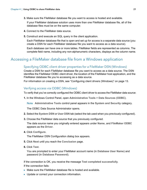**3.** Make sure the FileMaker database file you want to access is hosted and available.

If your FileMaker database solution uses more than one FileMaker database file, all of the database files must be on the same computer.

- **4.** Connect to the FileMaker data source.
- **5.** Construct and execute an SQL query in the client application.

Each FileMaker database file that is open and set up for access is a separate data source (you create a DSN for each FileMaker database file you want to access as a data source).

<span id="page-20-8"></span><span id="page-20-3"></span>Each database can have one or more tables. FileMaker fields are represented as columns. The complete field name, including any non-alphanumeric characters, displays as the column name.

## <span id="page-20-0"></span>Accessing a FileMaker database file from a Windows application

#### <span id="page-20-4"></span><span id="page-20-1"></span>Specifying ODBC client driver properties for a FileMaker DSN (Windows)

Create a DSN for each FileMaker database file you want to access as a data source. The DSN identifies the FileMaker ODBC client driver, the location of the FileMaker host application, and the FileMaker database file you're accessing as a data source.

For information on creating a DSN, see ["Configuring client drivers \(Windows\)" on page](#page-12-2) 13.

#### <span id="page-20-2"></span>Verifying access via ODBC (Windows)

<span id="page-20-5"></span>To verify that you've correctly configured the ODBC client driver to access the FileMaker data source:

**1.** In the Windows Control Panel, open **Administrative Tools** > **Data Sources (ODBC)**.

<span id="page-20-9"></span>Note **Administrative Tools** control panel appears in the **System and Security** category.

<span id="page-20-6"></span>The ODBC Data Source Administrator opens.

- **2.** Select the **System DSN** or **User DSN** tab (select the tab used when you previously configured).
- **3.** Choose the FileMaker data source that you previously configured.

The data source name you originally entered appears under **Name**, and **FileMaker ODBC**  appears as the **Driver**.

**4.** Click **Configure**.

The FileMaker DSN Configuration dialog box appears.

- **5.** Click **Next** until you reach the **Conclusion** page.
- **6.** Click **Test**.

<span id="page-20-7"></span>You are prompted to enter your FileMaker account name (in **Database User Name**) and password (in **Database Password**).

If the connection is OK, you receive the message **Test completed successfully**. If the connection fails:

- **I** Make sure the FileMaker database file is hosted and available.
- **-** Update or correct your connection information.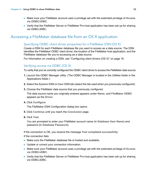- 1 Make sure your FileMaker account uses a privilege set with the extended privilege of **Access via ODBC/JDBC**.
- 1 Verify that the FileMaker Server or FileMaker Pro host application has been set up for sharing via ODBC/JDBC.

## <span id="page-21-0"></span>Accessing a FileMaker database file from an OS X application

#### <span id="page-21-3"></span><span id="page-21-1"></span>Specifying ODBC client driver properties for a FileMaker DSN (OS X)

Create a DSN for each FileMaker database file you want to access as a data source. The DSN identifies the FileMaker ODBC client driver, the location of the FileMaker host application, and the FileMaker database file you're accessing as a data source.

<span id="page-21-7"></span>For information on creating a DSN, see ["Configuring client drivers \(OS X\)" on page](#page-15-1) 16.

#### <span id="page-21-2"></span>Verifying access via ODBC (OS X)

<span id="page-21-4"></span>To verify that you've correctly configured the ODBC client driver to access the FileMaker data source:

- <span id="page-21-6"></span><span id="page-21-5"></span>**1.** Launch the ODBC Manager utility. (The ODBC Manager is located in the Utilities folder in the Applications folder.)
- **2.** Select the **System DSN** or **User DSN** tab (select the tab used when you previously configured).
- **3.** Choose the FileMaker data source that you previously configured.

The data source name you originally entered appears under **Name**, and **FileMaker ODBC**  appears as the **Driver**.

**4.** Click **Configure**.

The FileMaker DSN Configuration dialog box opens.

- **5.** Click **Continue** until you reach the **Conclusion** page.
- **6.** Click **Test**.

<span id="page-21-8"></span>You are prompted to enter your FileMaker account name (in **Database User Name**) and password (in **Database Password**).

If the connection is OK, you receive the message **Test completed successfully**.

If the connection fails:

- **1** Make sure the FileMaker database file is hosted and available.
- **-** Update or correct your connection information.
- 1 Make sure your FileMaker account uses a privilege set with the extended privilege of **Access via ODBC/JDBC**.
- 1 Verify that the FileMaker Server or FileMaker Pro host application has been set up for sharing via ODBC/JDBC.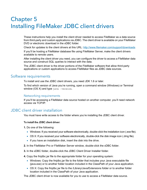## <span id="page-22-4"></span><span id="page-22-0"></span>Chapter 5 Installing FileMaker JDBC client drivers

These instructions help you install the client driver needed to access FileMaker as a data source from third-party and custom applications via JDBC. The client driver is available on your FileMaker DVD or electronic download in the xDBC folder.

Check for updates to the client drivers at this URL: <http://www.filemaker.com/support/downloads>

If you'll be hosting a FileMaker database file using FileMaker Server, make the client drivers available to remote users.

After installing the client driver you need, you can configure the driver to access a FileMaker data source and construct SQL queries to interact with the data.

The JDBC client driver is the driver portions of the FileMaker software that allow third-party applications or custom applications to access FileMaker files as JDBC data sources.

#### <span id="page-22-1"></span>Software requirements

<span id="page-22-8"></span><span id="page-22-6"></span><span id="page-22-5"></span>To install and use the JDBC client drivers, you need JDK 1.6 or later.

<span id="page-22-7"></span>To find which version of Java you're running, open a command window (Windows) or Terminal window (OS X) and type java -version.

#### <span id="page-22-2"></span>Networking requirements

If you'll be accessing a FileMaker data source hosted on another computer, you'll need network access via TCP/IP.

## <span id="page-22-3"></span>JDBC client driver installation

You must have write access to the folder where you're installing the JDBC client driver.

#### To install the JDBC client driver:

**1.** Do one of the following:

- 1 Windows: If you received your software electronically, double-click the installation icon (.exe file).
- 1 OS X: If you received your software electronically, double-click the disk image icon (.dmg file).
- $\blacksquare$  If you have an installation disk, insert the disk into the drive.
- **2.** In the FileMaker Pro or FileMaker Server window, double-click the xDBC folder.
- **3.** In the xDBC folder, double-click the JDBC Client Driver Installer folder.
- **4.** Copy the fmjdbc.jar file to the appropriate folder for your operating system:
	- 1 Windows: Copy the fmjdbc.jar file to the folder that includes your Java executable file (java.exe) or to another folder location included in the ClassPath of your Java application.
	- OS X: Copy the fmidbc.jar file to the /Library/Java/Extensions folder or to another folder location included in the ClassPath of your Java application.

The JDBC client driver is now available for you to use to access a FileMaker data source.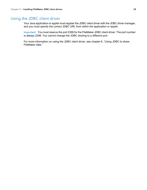## <span id="page-23-0"></span>Using the JDBC client driver

Your Java application or applet must register the JDBC client driver with the JDBC driver manager, and you must specify the correct JDBC URL from within the application or applet.

<span id="page-23-1"></span>Important You must reserve the port 2399 for the FileMaker JDBC client driver. The port number is always 2399. You cannot change the JDBC sharing to a different port.

For more information on using the JDBC client driver, see chapter [6, "Using JDBC to share](#page-24-4)  [FileMaker data."](#page-24-4)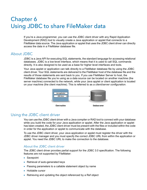## <span id="page-24-4"></span><span id="page-24-0"></span>Chapter 6 Using JDBC to share FileMaker data

If you're a Java programmer, you can use the JDBC client driver with any Rapid Application Development (RAD) tool to visually create a Java application or applet that connects to a FileMaker data source. The Java application or applet that uses the JDBC client driver can directly access the data in a FileMaker database file.

## <span id="page-24-1"></span>About JDBC

<span id="page-24-8"></span>JDBC is a Java API for executing SQL statements, the standard language for accessing relational databases. JDBC is a low-level interface, which means that it is used to call SQL commands directly. It is also designed to be used as a base for higher level interfaces and tools.

Your Java applet or application can talk directly to a FileMaker database file by using the JDBC client driver. Your SQL statements are delivered to the FileMaker host of the database file and the results of those statements are sent back to you. If you use FileMaker Server to host, the FileMaker database file you're using as a data source can be located on another machine (the server machine) connected to the network, while your Java applet or client application is located on your machine (the client machine). This is referred to as a *client/server configuration*.

<span id="page-24-9"></span>

## <span id="page-24-2"></span>Using the JDBC client driver

You can use the JDBC client driver with a Java compiler or RAD tool to connect with your database while you build the code for your Java application or applet. After the Java application or applet has been created, the JDBC client driver must be present with the files or included within the code in order for the application or applet to communicate with the database.

To use the JDBC client driver, your Java application or applet must register the driver with the JDBC driver manager and you must specify the correct JDBC URL from within the application or applet. You need the JDBC URL to make the connection to the database.

### <span id="page-24-3"></span>About the JDBC client driver

<span id="page-24-7"></span>The JDBC client driver provides partial support for the JDBC 3.0 specification. The following features are not supported by FileMaker:

- <span id="page-24-10"></span><span id="page-24-5"></span>**B** Savepoint
- Retrieval of auto-generated keys
- Passing parameters to a callable statement object by name
- <span id="page-24-6"></span>**-** Holdable cursor
- Retrieving and updating the object referenced by a Ref object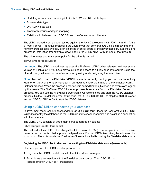- <span id="page-25-2"></span><span id="page-25-1"></span>1 Updating of columns containing CLOB, ARRAY, and REF data types
- **Boolean data type**
- <span id="page-25-3"></span>**DATALINK data type**
- <span id="page-25-8"></span>**Transform groups and type mapping**
- Relationship between the JDBC SPI and the Connector architecture

<span id="page-25-4"></span>The JDBC client driver has been tested against the Java Development Kit (JDK) 1.6 and 1.7. It is a Type 4 driver — a native protocol, pure Java driver that converts JDBC calls directly into the network protocol used by FileMaker. This type of driver offers all the advantages of Java, including automatic installation (for example, downloading the JDBC driver with an applet that uses it).

<span id="page-25-5"></span>The driver class and main entry point for the driver is named:

**com.filemaker.jdbc.Driver**

Important The JDBC client driver replaces the FileMaker JDBC driver released with a previous version of FileMaker. If you have previously set up access to a FileMaker data source using the older driver, you'll need to re-define access by using and configuring the new driver.

<span id="page-25-9"></span>Note To confirm that the FileMaker XDBC Listener is currently running, you can use the Activity Monitor on OS X or the Task Manager in Windows to check the status of the FileMaker XDBC Listener process. When the process is started, it is named fmxdbc\_listener, and events are logged by that name. The FileMaker XDBC Listener process is separate from the FileMaker Server process. You can use the FileMaker Server Admin Console to stop and start the XDBC Listener process. On the FileMaker Server Status pane, set ODBC/JDBC to **OFF** to stop the XDBC Listener and set ODBC/JDBC to **ON** to start the XDBC Listener.

#### <span id="page-25-7"></span><span id="page-25-0"></span>Using a JDBC URL to connect to your database

In Java, most resources are accessed through URLs (Uniform Resource Locators). A JDBC URL is used to identify the database so the JDBC client driver can recognize and establish a connection with the database.

The JDBC URL consists of three main parts separated by colons:

**jdbc:<subprotocol>:<subname>**

The first part in the JDBC URL is always the JDBC protocol (jdbc). The *subprotocol* is the driver name or the mechanism that supports multiple drivers. For the JDBC client driver, the subprotocol is filemaker. The *subname* is the IP address of the machine that is hosting the FileMaker data source.

#### <span id="page-25-6"></span>Registering the JDBC client driver and connecting to a FileMaker data source (an example)

Here is a portion of a JDBC client application that:

- **1.** Registers the JDBC client driver with the JDBC driver manager.
- **2.** Establishes a connection with the FileMaker data source. The JDBC URL is **jdbc:filemaker://192.168.1.1/database**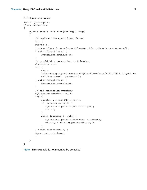```
3. Returns error codes.
import java.sql.*;
class FMPJDBCTest
\left\{ \right.public static void main(String[ ] args) 
    \left\{ \right.// register the JDBC client driver
        try {
        Driver d = 
        (Driver)Class.forName("com.filemaker.jdbc.Driver").newInstance();
        } catch(Exception e) {
             System.out.println(e);
        }
        // establish a connection to FileMaker
        Connection con;
        try {
             con = 
            DriverManager.getConnection("jdbc:filemaker://192.168.1.1/mydataba
            se", "username", "password");
        } catch(Exception e) {
             System.out.println(e);
        }
        // get connection warnings 
        SQLWarning warning = null;
        try {
            warning = con.getWarnings();
             if (warning == null) {
                System.out.println("No warnings");
                return;
             }
            while (warning != null) \{System.out.println("Warning: "+warning);
                warning = warning.getNextWarning();
             }
        } catch (Exception e) {
        Sysem.out.println(e);
        }
    }
}
```
Note This example is not meant to be compiled.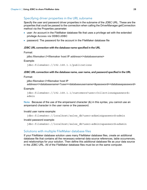## <span id="page-27-3"></span><span id="page-27-2"></span><span id="page-27-0"></span>Specifying driver properties in the URL subname

Specify the user and password driver properties in the subname of the JDBC URL. These are the properties that could be passed to the connection when calling the DriverManager.getConnection method via the Properties parameter.

- 1 user: An account in the FileMaker database file that uses a privilege set with the extended privilege **Access via ODBC/JDBC**
- **password: The password for the account in the FileMaker database file**

#### JDBC URL connection with the database name specified in the URL

Format:

**jdbc:filemaker://<filemaker host IP address>/<databasename>**

Example:

jdbc:filemaker://192.168.1.1/publications

#### JDBC URL connection with the database name, user name, and password specified in the URL

Format:

**jdbc:filemaker://<filemaker host IP** 

**address>/<databasename>?user=<databaseusername>&password=<databasepassword>**

Example:

jdbc:filemaker://192.168.1.1/customers?user=Collections&password= admin

Note Because of the use of the ampersand character (&) in this syntax, you cannot use an ampersand character in the user name or the password.

Invalid user name example:

jdbc:filemaker://localhost/sales\_db?user=ad&min&password=admin

Invalid password example:

jdbc:filemaker://localhost/sales\_db?user=admin1&password=ad&min

#### <span id="page-27-1"></span>Solutions with multiple FileMaker database files

If your FileMaker database solution uses many FileMaker database files, create an additional database file that contains all the necessary external data source references, table occurrences, and relationships for your solution. Then define this additional database file as your data source in the JDBC URL. All of the FileMaker database files must be on the same computer.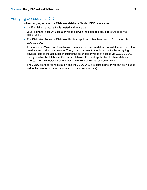## <span id="page-28-0"></span>Verifying access via JDBC

<span id="page-28-1"></span>When verifying access to a FileMaker database file via JDBC, make sure:

- the FileMaker database file is hosted and available.
- 1 your FileMaker account uses a privilege set with the extended privilege of **Access via ODBC/JDBC**.
- The FileMaker Server or FileMaker Pro host application has been set up for sharing via ODBC/JDBC.

To share a FileMaker database file as a data source, use FileMaker Pro to define accounts that need access to the database file. Then, control access to the database file by assigning privilege sets to the accounts, including the extended privilege of access via ODBC/JDBC. Finally, enable the FileMaker Server or FileMaker Pro host application to share data via ODBC/JDBC. For details, see FileMaker Pro Help or FileMaker Server Help.

1 The JDBC client driver registration and the JDBC URL are correct (the driver can be included inside the Java Application or located on the client machine).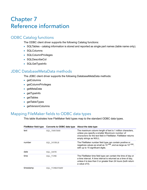## <span id="page-29-4"></span><span id="page-29-0"></span>Chapter 7 Reference information

## <span id="page-29-1"></span>ODBC Catalog functions

<span id="page-29-16"></span><span id="page-29-5"></span>The ODBC client driver supports the following Catalog functions:

- <span id="page-29-26"></span><span id="page-29-23"></span>• SQLTables - catalog information is stored and reported as single part names (table name only).
- SQLColumns
- <span id="page-29-22"></span>**BION SQLColumnPrivileges**
- <span id="page-29-25"></span><span id="page-29-24"></span>**SQLDescribeCol**
- <span id="page-29-7"></span>**BI** SQLGetTypeInfo

## <span id="page-29-2"></span>JDBC DatabaseMetaData methods

<span id="page-29-9"></span>The JDBC client driver supports the following DatabaseMetaData methods:

- <span id="page-29-8"></span>**qetColumns**
- **getColumnPrivileges**
- <span id="page-29-10"></span>■ getMetaData
- <span id="page-29-13"></span>**getTypeInfo**
- <span id="page-29-12"></span><span id="page-29-11"></span>**getTables**
- **getTableTypes**
- <span id="page-29-14"></span>**qetVersionColumns**

## <span id="page-29-3"></span>Mapping FileMaker fields to ODBC data types

<span id="page-29-6"></span>This table illustrates how FileMaker field types map to the standard ODBC data types.

<span id="page-29-21"></span><span id="page-29-20"></span><span id="page-29-19"></span><span id="page-29-18"></span><span id="page-29-17"></span><span id="page-29-15"></span>

| FileMaker field type | <b>Converts to ODBC data type</b> | About the data type                                                                                                                                                                                                   |
|----------------------|-----------------------------------|-----------------------------------------------------------------------------------------------------------------------------------------------------------------------------------------------------------------------|
| text                 | SQL VARCHAR                       | The maximum column length of text is 1 million characters,<br>unless you specify a smaller Maximum number of<br>characters for the text field in FileMaker. FileMaker returns<br>empty strings as NULL.               |
| number               | SQL DOUBLE                        | The FileMaker number field type can contain positive or<br>negatives values as small as $10^{-308}$ , and as large as $10^{+308}$ .<br>with up to 15 significant digits.                                              |
| date                 | SQL DATE                          |                                                                                                                                                                                                                       |
| time                 | SQL TIME                          | The FileMaker time field type can contain the time of day or<br>a time interval. A time interval is returned as a time of day,<br>unless it is less than 0 or greater than 24 hours (both return<br>a value of $0$ ). |
| timestamp            | SOL TIMESTAMP                     |                                                                                                                                                                                                                       |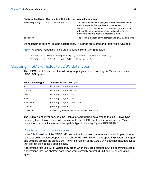| container (BLOB) | SOL LONGVARBINARY | You can retrieve binary data, file reference information, or<br>data of a specific file type from a container field.<br>Within a SELECT statement, use the CAST () function to<br>retrieve file reference information, and use the GetAs ()<br>function to retrieve data of a specific file type. |
|------------------|-------------------|---------------------------------------------------------------------------------------------------------------------------------------------------------------------------------------------------------------------------------------------------------------------------------------------------|
| calculation      |                   | The result is mapped to the corresponding ODBC data type.                                                                                                                                                                                                                                         |

<span id="page-30-12"></span>**FileMaker field type Converts to ODBC data type About the data type**

String length is optional in table declarations. All strings are stored and retrieved in Unicode.

<span id="page-30-11"></span>Note FileMaker repeating fields are supported like arrays. Examples:

```
INSERT INTO mytable(repField[3]) VALUES ('this is rep 3')
SELECT repField[1], repField[2] FROM mytable
```
## <span id="page-30-0"></span>Mapping FileMaker fields to JDBC data types

<span id="page-30-7"></span>The JDBC client driver uses the following mappings when converting FileMaker data types to JDBC SQL types.

<span id="page-30-15"></span><span id="page-30-13"></span><span id="page-30-9"></span><span id="page-30-8"></span>

| <b>FileMaker field type</b> | <b>Converts to JDBC SQL type</b>                       |
|-----------------------------|--------------------------------------------------------|
| text                        | java.sql.Types.VARCHAR                                 |
| number                      | java.sql.Types.DOUBLE                                  |
| date                        | java.sql.Types.DATE                                    |
| time                        | java.sql.Types.TIME                                    |
| timestamp                   | java.sql.Types.TIMESTAMP                               |
| container                   | java.sql.Types.BLOB                                    |
| calculation                 | specified by the data type of the calculation's result |

<span id="page-30-14"></span><span id="page-30-5"></span><span id="page-30-3"></span>The JDBC client driver converts the FileMaker **calculation** data type to the JDBC SQL type matching the calculation's result. For example, the JDBC client driver converts a FileMaker calculation that results in a **timestamp** data type to **java.sql.Types.TIMESTAMP**.

#### <span id="page-30-2"></span><span id="page-30-1"></span>Data types in 64-bit applications

In the 32-bit version of the ODBC API, some functions used parameters that could pass integer values or pointer values, depending on context. But in 64-bit Windows operating systems, integers and pointers are not the same size. The 64-bit version of the ODBC API uses abstract data types that are not defined as a specific size.

Applications that use 32-bit values may crash when they are ported to a 64-bit operating system. Applications that use abstract data types work correctly on both 32-bit and 64-bit operating systems.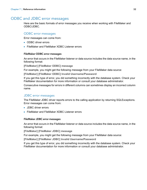## <span id="page-31-0"></span>ODBC and JDBC error messages

<span id="page-31-3"></span>Here are the basic formats of error messages you receive when working with FileMaker and ODBC/JDBC.

#### <span id="page-31-5"></span><span id="page-31-1"></span>ODBC error messages

Error messages can come from:

- <span id="page-31-7"></span>**• ODBC driver errors**
- **FileMaker and FileMaker XDBC Listener errors**

#### FileMaker ODBC error messages

An error that occurs in the FileMaker listener or data source includes the data source name, in the following format:

**[FileMaker] [FileMaker ODBC] message**

For example, you might get the following message from your FileMaker data source:

**[FileMaker] [FileMaker ODBC] Invalid Username/Password**

If you get this type of error, you did something incorrectly with the database system. Check your FileMaker documentation for more information or consult your database administrator.

Consecutive messages for errors in different columns can sometimes display an incorrect column name.

#### <span id="page-31-4"></span><span id="page-31-2"></span>JDBC error messages

<span id="page-31-6"></span>The FileMaker JDBC driver reports errors to the calling application by returning SQLExceptions. Error messages can come from:

- **JDBC driver errors**
- **FileMaker and FileMaker XDBC Listener errors**

#### FileMaker JDBC error messages

An error that occurs in the FileMaker listener or data source includes the data source name, in the following format:

**[FileMaker] [FileMaker JDBC] message** 

For example, you might get the following message from your FileMaker data source:

**[FileMaker] [FileMaker JDBC] Invalid Username/Password**

If you get this type of error, you did something incorrectly with the database system. Check your FileMaker documentation for more information or consult your database administrator.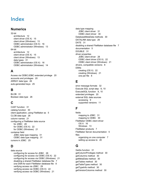## <span id="page-32-0"></span>Index

#### **Numerics**

32-bit [architecture 12](#page-11-6) [client driver \(OS X\) 15](#page-14-1) [client driver \(Windows\) 13](#page-12-3) [ODBC administrator \(OS X\) 16](#page-15-2) [ODBC administrator \(Windows\) 13](#page-12-4) 64-bit [architecture 12](#page-11-7) [client driver \(OS X\) 15](#page-14-2) [client driver \(Windows\) 13](#page-12-5) [data types 31](#page-30-2) [ODBC administrator \(OS X\) 16](#page-15-3) [ODBC administrator \(Windows\) 14](#page-13-1)

## **A**

[Access via ODBC/JDBC extended privilege 20](#page-19-2) [accounts and privileges 20](#page-19-2) [ARRAY data type 26](#page-25-1) [auto-generated keys 25](#page-24-5)

### **B**

[BLOB 31](#page-30-3) [Boolean data type 26](#page-25-2)

## **C**

[CAST function 31](#page-30-4) [catalog function 30](#page-29-5) [client application, using FileMaker as 5](#page-4-4) [CLOB data type 26](#page-25-1) [column names 21](#page-20-3) configuring a FileMaker data source [for JDBC 28](#page-27-2) [for ODBC \(OS X\) 22](#page-21-3) [for ODBC \(Windows\) 21](#page-20-4) container field [JDBC data type mapping 31](#page-30-5) [ODBC data type mapping 31](#page-30-6) [cursors in JDBC 25](#page-24-6)

## **D**

data source [configuring for access for JDBC 28](#page-27-2) [configuring for access via ODBC \(OS X\) 22](#page-21-3) [configuring for access via ODBC \(Windows\) 21](#page-20-4) [disabling a shared FileMaker database file 7](#page-6-2) [one DSN for each FileMaker database file 8](#page-7-4) [verifying access via JDBC 29](#page-28-1) [verifying access via ODBC \(OS X\) 22](#page-21-4) [verifying access via ODBC \(Windows\) 21](#page-20-5)

data type mapping [JDBC client driver 31](#page-30-7) [ODBC client driver 30](#page-29-6) [DatabaseMetaData methods 30](#page-29-7) [DATALINK data type 26](#page-25-3) [DATE 31](#page-30-8) [disabling a shared FileMaker database file 7](#page-6-2) [documentation 5](#page-4-5) [DOUBLE 31](#page-30-9) driver properties [JDBC client driver 28](#page-27-2) [ODBC client driver \(OS X\) 22](#page-21-3) [ODBC client driver \(Windows\) 21](#page-20-4) [drivers, compatible versions 8](#page-7-5) DSNs [creating \(OS X\) 22](#page-21-3) [creating \(Windows\) 21](#page-20-4) [one per file 8](#page-7-4)

## **E**

[error message formats 32](#page-31-3) [Execute SQL script step 9,](#page-8-3) [10](#page-9-2) [ExecuteSQL function 9,](#page-8-4) [10](#page-9-3) [extended privileges 20](#page-19-2) external SQL data sources [accessing 9](#page-8-5) [supported versions 11](#page-10-2)

## **F**

fields [mapping to JDBC 31](#page-30-7) [mapping to ODBC 30](#page-29-6) FileMaker ODBC client driver [OS X 16](#page-15-4) [Windows 13](#page-12-6) [FileMaker products 7](#page-6-3) [FileMaker Server documentation 5](#page-4-5) files [organizing on one computer 7](#page-6-4) [setting up access to 20](#page-19-2)

## **G**

[GetAs function 31](#page-30-10) [getColumnPrivileges method 30](#page-29-8) [getColumns method 30](#page-29-9) [getMetaData method 30](#page-29-10) [getTables method 30](#page-29-11) [getTableTypes method 30](#page-29-12) [getTypeInfo method 30](#page-29-13) [getVersionColumns method 30](#page-29-14)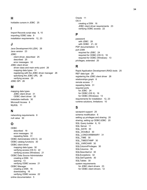#### **H**

[holdable cursors in JDBC 25](#page-24-6)

#### **I**

[Import Records script step 9](#page-8-6), [10](#page-9-4) [importing ODBC data 9](#page-8-7) [installation requirements 12,](#page-11-8) [23](#page-22-5)

### **J**

[Java Development Kit \(JDK\) 26](#page-25-4) [Java version 23](#page-22-6) JDBC [client driver, described 25](#page-24-7) [described 25](#page-24-8) [error messages 32](#page-31-4) JDBC client driver [driver class and main entry point 26](#page-25-5) [mapping data types 31](#page-30-7) [registering with the JDBC driver manager 26](#page-25-6) [specifying the JDBC URL 26](#page-25-7) [verifying access 29](#page-28-1) [JDBC SPI 26](#page-25-8)

### **M**

mapping data types [JDBC client driver 31](#page-30-7) [ODBC client driver 30](#page-29-6) [metadata methods 30](#page-29-7) [Microsoft Access 8](#page-7-6) [MySQL 11](#page-10-2)

## **N**

[networking requirements 8](#page-7-7) [null value 30](#page-29-15)

## **O**

ODBC [described 19](#page-18-3) [error messages 32](#page-31-5) [repeating fields 31](#page-30-11) [ODBC Administrator \(OS X\) 22](#page-21-5) [ODBC catalog functions 30](#page-29-16) ODBC client driver [mapping data types 30](#page-29-6) [verifying access \(OS X\) 22](#page-21-4) [verifying access \(Windows\) 21](#page-20-5) ODBC Data Source Administrator [creating a DSN 14](#page-13-2) [opening 13](#page-12-7) [verifying ODBC access 21](#page-20-6) ODBC Manager [creating a DSN 16](#page-15-5) [downloading 16](#page-15-6) [verifying ODBC access 22](#page-21-6) [online documentation 5](#page-4-5)

[Oracle 11](#page-10-2) OS X [creating a DSN 16](#page-15-7) [JDBC client driver requirements 23](#page-22-7) [verifying ODBC access 22](#page-21-7)

#### **P**

password [with JDBC 28](#page-27-3) [with ODBC 21,](#page-20-7) [22](#page-21-8) [PDF documentation 5](#page-4-5) port 2399 [required for JDBC 24](#page-23-1) [required for ODBC \(OS X\) 16](#page-15-8) [required for ODBC \(Windows\) 13](#page-12-8) [privileges, extended 20](#page-19-2)

### **R**

[Rapid Application Development \(RAD\) tools 25](#page-24-9) [REF data type 26](#page-25-1) [registering the JDBC client driver 26](#page-25-6) [relationships graph 6](#page-5-3) [remote access 7](#page-6-5) [repeating fields 31](#page-30-11) required ports [for JDBC 24](#page-23-1) [for ODBC \(OS X\) 16](#page-15-8) [for ODBC \(Windows\) 13](#page-12-8) [requirements for installation 12,](#page-11-8) [23](#page-22-5) [runtime solutions, limitations 10](#page-9-5)

## **S**

[savepoint support 25](#page-24-10) [schema modification 6](#page-5-4) [setting up privileges and sharing 20](#page-19-2) [sharing, setting up ODBC/JDBC 20](#page-19-3) [SQL Query builder 6,](#page-5-5) [10](#page-9-6) [SQL Server 11](#page-10-2) [SQL\\_DATE 30](#page-29-17) [SQL\\_DOUBLE 30](#page-29-18) [SQL\\_LONGVARBINARY 31](#page-30-12) SQL TIME 30 [SQL\\_TIMESTAMP 30](#page-29-20) [SQL\\_VARCHAR 30](#page-29-21) [SQLColumnPrivileges 30](#page-29-22) [SQLColumns 30](#page-29-23) [SQLDescribeCol 30](#page-29-24) [SQLExceptions 32](#page-31-6) [SQLGetTypeInfo 30](#page-29-25) [SQLTables 30](#page-29-26) system requirements [for JDBC client drivers 23](#page-22-5) [for ODBC client drivers 12](#page-11-8)